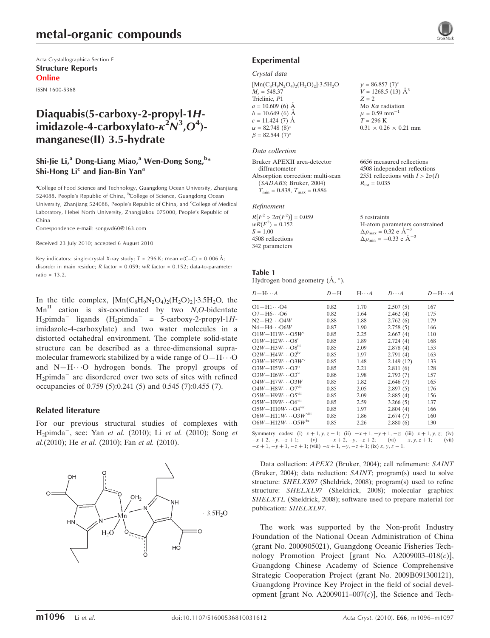# metal-organic compounds

Acta Crystallographica Section E Structure Reports Online

ISSN 1600-5368

# Diaquabis(5-carboxy-2-propyl-1Himidazole-4-carboxylato- $\kappa^2 N^3$ , $O^4$ )manganese(II) 3.5-hydrate

# Shi-Jie Li,<sup>a</sup> Dong-Liang Miao,<sup>a</sup> Wen-Dong Song,<sup>b</sup>\* Shi-Hong Lic and Jian-Bin Yan<sup>a</sup>

<sup>a</sup>College of Food Science and Technology, Guangdong Ocean University, Zhanjiang 524088, People's Republic of China, <sup>b</sup>College of Science, Guangdong Ocean University, Zhanjiang 524088, People's Republic of China, and <sup>c</sup>College of Medical Laboratory, Hebei North University, Zhangjiakou 075000, People's Republic of China

Correspondence e-mail: songwd60@163.com

Received 23 July 2010; accepted 6 August 2010

Key indicators: single-crystal X-ray study;  $T = 296$  K; mean  $\sigma$ (C–C) = 0.006 Å; disorder in main residue; R factor = 0.059; wR factor = 0.152; data-to-parameter ratio = 13.2.

In the title complex,  $[Mn(C_8H_9N_2O_4)_2(H_2O)_2]\cdot 3.5H_2O$ , the  $Mn$ <sup>II</sup> cation is six-coordinated by two N,O-bidentate  $H_2$ pimda<sup>-</sup> ligands ( $H_2$ pimda<sup>-</sup> = 5-carboxy-2-propyl-1Himidazole-4-carboxylate) and two water molecules in a distorted octahedral environment. The complete solid-state structure can be described as a three-dimensional supramolecular framework stabilized by a wide range of  $O-H\cdots O$ and N-H···O hydrogen bonds. The propyl groups of  $H_2$ pimda<sup> $-$ </sup> are disordered over two sets of sites with refined occupancies of 0.759 (5):0.241 (5) and 0.545 (7):0.455 (7).

#### Related literature

For our previous structural studies of complexes with H<sub>2</sub>pimda<sup>-</sup>, see: Yan et al. (2010); Li et al. (2010); Song et al.(2010); He et al. (2010); Fan et al. (2010).



# Experimental

#### Crystal data

 $[Mn(C_8H_9N_2O_4)_2(H_2O)_2]$ -3.5H<sub>2</sub>O  $M_r = 548.37$ Triclinic, P1  $a = 10.609(6)$  Å  $b = 10.649(6)$  Å  $c = 11.424(7)$  Å  $\alpha = 82.748(8)$ °  $\beta = 82.544 (7)^{\circ}$ 

#### Data collection

| Bruker APEXII area-detector                         |
|-----------------------------------------------------|
| diffractometer                                      |
| Absorption correction: multi-scan                   |
| (SADABS; Bruker, 2004)                              |
| $T_{\text{min}} = 0.838$ , $T_{\text{max}} = 0.886$ |
|                                                     |

#### Refinement

| $R[F^2 > 2\sigma(F^2)] = 0.059$ |
|---------------------------------|
| $wR(F^2) = 0.152$               |
| $S = 1.00$                      |
| 4508 reflections                |
| 342 parameters                  |

 $V = 1268.5(13)$   $\AA^3$  $Z = 2$ Mo  $K\alpha$  radiation  $\mu$  = 0.59 mm<sup>-1</sup>  $T = 296$  K  $0.31 \times 0.26 \times 0.21$  mm

 $\nu = 86.857 (7)$ °

6656 measured reflections 4508 independent reflections 2551 reflections with  $I > 2\sigma(I)$  $R_{\text{int}} = 0.035$ 

| 5 restraints                                       |
|----------------------------------------------------|
| H-atom parameters constrained                      |
| $\Delta \rho_{\text{max}} = 0.32 \text{ e A}^{-3}$ |
| $\Delta \rho_{\rm min} = -0.33$ e $\rm \AA^{-3}$   |

#### Table 1 Hydrogen-bond geometry  $(\AA, \degree)$ .

| $D - H \cdots A$                        | D-H  | $H \cdots A$ | $D \cdots A$ | $D - H \cdots A$ |
|-----------------------------------------|------|--------------|--------------|------------------|
| $O1 - H1 \cdots O4$                     | 0.82 | 1.70         | 2.507(5)     | 167              |
| $O7 - H6 \cdots O6$                     | 0.82 | 1.64         | 2.462(4)     | 175              |
| $N2-H2\cdots O4W$                       | 0.88 | 1.88         | 2.762(6)     | 179              |
| $N4 - H4 \cdots 06W$                    | 0.87 | 1.90         | 2.758(5)     | 166              |
| $O1W - H1W \cdots O5W$                  | 0.85 | 2.25         | 2.667(4)     | 110              |
| $O1W - H2W \cdots O8ii$                 | 0.85 | 1.89         | 2.724(4)     | 168              |
| $O2W - H3W \cdots O8$ <sup>iii</sup>    | 0.85 | 2.09         | 2.878(4)     | 153              |
| $O2W - H4W \cdots O2^{\rm iv}$          | 0.85 | 1.97         | 2.791(4)     | 163              |
| $O3W - H5W \cdots O3Wv$                 | 0.85 | 1.48         | 2.149(12)    | 133              |
| $O3W - H5W \cdots O3$ iv                | 0.85 | 2.21         | 2.811(6)     | 128              |
| $O3W - H6W \cdots O3^{vi}$              | 0.86 | 1.98         | 2.793(7)     | 157              |
| $O4W - H7W \cdots O3W$                  | 0.85 | 1.82         | 2.646(7)     | 165              |
| $O4W - H8W \cdots O7$ <sup>vii</sup>    | 0.85 | 2.05         | 2.897(5)     | 176              |
| $O5W - H9W \cdots O5^{vu}$              | 0.85 | 2.09         | 2.885(4)     | 156              |
| $O5W - H9W \cdots O6$ <sup>vii</sup>    | 0.85 | 2.59         | 3.266(5)     | 137              |
| $O5W - H10W \cdots O4$ <sup>viii</sup>  | 0.85 | 1.97         | 2.804(4)     | 166              |
| $O6W - H11W \cdots O3W$ <sup>viii</sup> | 0.85 | 1.86         | 2.674(7)     | 160              |
| $O6W - H12W \cdots O5W$ <sup>ix</sup>   | 0.85 | 2.26         | 2.880(6)     | 130              |

Symmetry codes: (i)  $x + 1, y, z - 1$ ; (ii)  $-x + 1, -y + 1, -z$ ; (iii)  $x + 1, y, z$ ; (iv)<br>  $-x + 2, -y, -z + 1$ ; (v)  $-x + 2, -y, -z + 2$ ; (vi)  $x, y, z + 1$ ; (vii) (v)  $-x+2, -y, -z+2$ ; (vi)  $-x + 1$ ,  $-y + 1$ ,  $-z + 1$ ; (viii)  $-x + 1$ ,  $-y$ ,  $-z + 1$ ; (ix) x, y, z - 1.

Data collection: APEX2 (Bruker, 2004); cell refinement: SAINT (Bruker, 2004); data reduction: SAINT; program(s) used to solve structure: SHELXS97 (Sheldrick, 2008); program(s) used to refine structure: SHELXL97 (Sheldrick, 2008); molecular graphics: SHELXTL (Sheldrick, 2008); software used to prepare material for publication: SHELXL97.

The work was supported by the Non-profit Industry Foundation of the National Ocean Administration of China (grant No. 2000905021), Guangdong Oceanic Fisheries Technology Promotion Project [grant No. A2009003–018(c)], Guangdong Chinese Academy of Science Comprehensive Strategic Cooperation Project (grant No. 2009B091300121), Guangdong Province Key Project in the field of social development [grant No. A2009011-007 $(c)$ ], the Science and Tech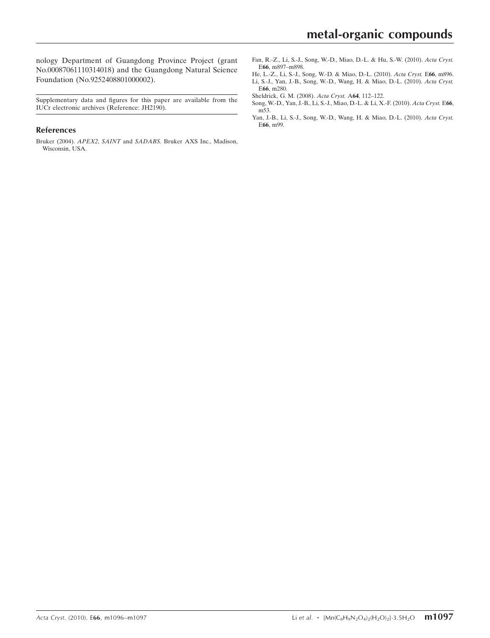nology Department of Guangdong Province Project (grant No.00087061110314018) and the Guangdong Natural Science Foundation (No.9252408801000002).

Supplementary data and figures for this paper are available from the IUCr electronic archives (Reference: JH2190).

### References

Bruker (2004). APEX2, SAINT and SADABS[. Bruker AXS Inc., Madison,](https://scripts.iucr.org/cgi-bin/cr.cgi?rm=pdfbb&cnor=jh2190&bbid=BB1) [Wisconsin, USA.](https://scripts.iucr.org/cgi-bin/cr.cgi?rm=pdfbb&cnor=jh2190&bbid=BB1)

- [Fan, R.-Z., Li, S.-J., Song, W.-D., Miao, D.-L. & Hu, S.-W. \(2010\).](https://scripts.iucr.org/cgi-bin/cr.cgi?rm=pdfbb&cnor=jh2190&bbid=BB2) Acta Cryst. E66[, m897–m898.](https://scripts.iucr.org/cgi-bin/cr.cgi?rm=pdfbb&cnor=jh2190&bbid=BB2)
- [He, L.-Z., Li, S.-J., Song, W.-D. & Miao, D.-L. \(2010\).](https://scripts.iucr.org/cgi-bin/cr.cgi?rm=pdfbb&cnor=jh2190&bbid=BB3) Acta Cryst. E66, m896. [Li, S.-J., Yan, J.-B., Song, W.-D., Wang, H. & Miao, D.-L. \(2010\).](https://scripts.iucr.org/cgi-bin/cr.cgi?rm=pdfbb&cnor=jh2190&bbid=BB4) Acta Cryst. E66[, m280.](https://scripts.iucr.org/cgi-bin/cr.cgi?rm=pdfbb&cnor=jh2190&bbid=BB4)
- [Sheldrick, G. M. \(2008\).](https://scripts.iucr.org/cgi-bin/cr.cgi?rm=pdfbb&cnor=jh2190&bbid=BB5) Acta Cryst. A64, 112–122.
- [Song, W.-D., Yan, J.-B., Li, S.-J., Miao, D.-L. & Li, X.-F. \(2010\).](https://scripts.iucr.org/cgi-bin/cr.cgi?rm=pdfbb&cnor=jh2190&bbid=BB6) Acta Cryst. E66, [m53.](https://scripts.iucr.org/cgi-bin/cr.cgi?rm=pdfbb&cnor=jh2190&bbid=BB6)
- [Yan, J.-B., Li, S.-J., Song, W.-D., Wang, H. & Miao, D.-L. \(2010\).](https://scripts.iucr.org/cgi-bin/cr.cgi?rm=pdfbb&cnor=jh2190&bbid=BB7) Acta Cryst. E66[, m99.](https://scripts.iucr.org/cgi-bin/cr.cgi?rm=pdfbb&cnor=jh2190&bbid=BB7)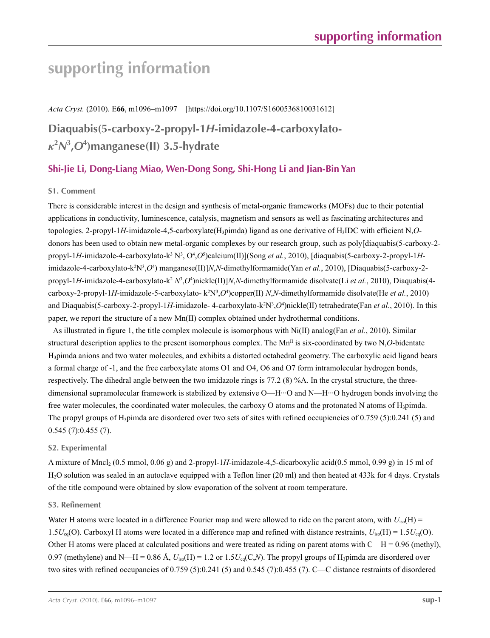# **supporting information**

*Acta Cryst.* (2010). E**66**, m1096–m1097 [https://doi.org/10.1107/S1600536810031612]

# **Diaquabis(5-carboxy-2-propyl-1***H***-imidazole-4-carboxylato***κ***2** *N***3 ,***O***<sup>4</sup> )manganese(II) 3.5-hydrate**

# **Shi-Jie Li, Dong-Liang Miao, Wen-Dong Song, Shi-Hong Li and Jian-Bin Yan**

## **S1. Comment**

There is considerable interest in the design and synthesis of metal-organic frameworks (MOFs) due to their potential applications in conductivity, luminescence, catalysis, magnetism and sensors as well as fascinating architectures and topologies. 2-propyl-1*H*-imidazole-4,5-carboxylate(H3pimda) ligand as one derivative of H3IDC with efficient N,*O*donors has been used to obtain new metal-organic complexes by our research group, such as poly[diaquabis(5-carboxy-2 propyl-1*H*-imidazole-4-carboxylato-k<sup>3</sup> N<sup>3</sup>, O<sup>4</sup>,O<sup>5</sup>)calcium(II)](Song *et al.*, 2010), [diaquabis(5-carboxy-2-propyl-1*H*imidazole-4-carboxylato-k<sup>2</sup>N<sup>3</sup>,O<sup>4</sup>) manganese(II)]*N*,*N*-dimethylformamide(Yan *et al.*, 2010), [Diaquabis(5-carboxy-2propyl-1*H*-imidazole-4-carboxylato-k<sup>2</sup>  $N^3$ ,O<sup>4</sup>)nickle(II)]*N*,N-dimethylformamide disolvate(Li *et al.*, 2010), Diaquabis(4carboxy-2-propyl-1H-imidazole-5-carboxylato- k<sup>2</sup>N<sup>3</sup>,O<sup>4</sup>)copper(II) *N*,N-dimethylformamide disolvate(He *et al.*, 2010) and Diaquabis(5-carboxy-2-propyl-1*H*-imidazole- 4-carboxylato-k<sup>2</sup>N<sup>3</sup>,O<sup>4</sup>)nickle(II) tetrahedrate(Fan *et al.*, 2010). In this paper, we report the structure of a new Mn(II) complex obtained under hydrothermal conditions.

As illustrated in figure 1, the title complex molecule is isomorphous with Ni(II) analog(Fan *et al.*, 2010). Similar structural description applies to the present isomorphous complex. The  $Mn^{\text{II}}$  is six-coordinated by two N,O-bidentate H3pimda anions and two water molecules, and exhibits a distorted octahedral geometry. The carboxylic acid ligand bears a formal charge of -1, and the free carboxylate atoms O1 and O4, O6 and O7 form intramolecular hydrogen bonds, respectively. The dihedral angle between the two imidazole rings is 77.2 (8) %A. In the crystal structure, the threedimensional supramolecular framework is stabilized by extensive O—H···O and N—H···O hydrogen bonds involving the free water molecules, the coordinated water molecules, the carboxy O atoms and the protonated N atoms of H<sub>3</sub>pimda. The propyl groups of H<sub>3</sub>pimda are disordered over two sets of sites with refined occupiencies of 0.759 (5):0.241 (5) and 0.545 (7):0.455 (7).

## **S2. Experimental**

A mixture of Mncl<sub>2</sub> (0.5 mmol, 0.06 g) and 2-propyl-1H-imidazole-4,5-dicarboxylic acid(0.5 mmol, 0.99 g) in 15 ml of H2O solution was sealed in an autoclave equipped with a Teflon liner (20 ml) and then heated at 433k for 4 days. Crystals of the title compound were obtained by slow evaporation of the solvent at room temperature.

## **S3. Refinement**

Water H atoms were located in a difference Fourier map and were allowed to ride on the parent atom, with  $U_{iso}(H)$  = 1.5 $U_{eq}(O)$ . Carboxyl H atoms were located in a difference map and refined with distance restraints,  $U_{iso}(H) = 1.5U_{eq}(O)$ . Other H atoms were placed at calculated positions and were treated as riding on parent atoms with  $C-H = 0.96$  (methyl), 0.97 (methylene) and N—H = 0.86 Å,  $U_{iso}(H) = 1.2$  or  $1.5U_{eq}(C,N)$ . The propyl groups of H<sub>3</sub>pimda are disordered over two sites with refined occupancies of 0.759 (5):0.241 (5) and 0.545 (7):0.455 (7). C—C distance restraints of disordered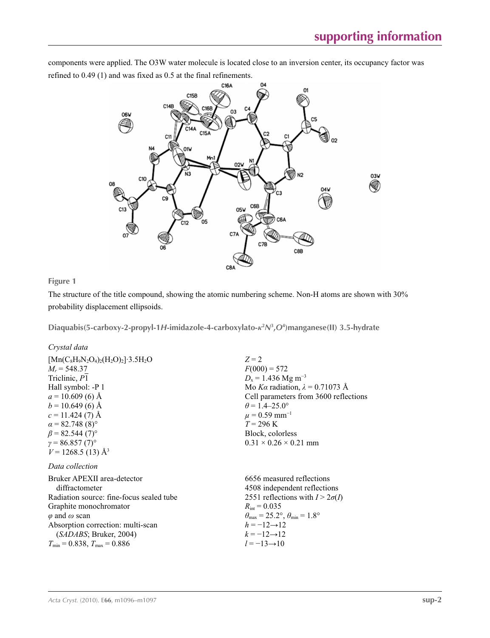components were applied. The O3W water molecule is located close to an inversion center, its occupancy factor was refined to 0.49 (1) and was fixed as 0.5 at the final refinements.



## **Figure 1**

The structure of the title compound, showing the atomic numbering scheme. Non-H atoms are shown with 30% probability displacement ellipsoids.

**Diaquabis(5-carboxy-2-propyl-1***H***-imidazole-4-carboxylato-***κ***<sup>2</sup>** *N***<sup>3</sup> ,***O***<sup>4</sup> )manganese(II) 3.5-hydrate** 

### *Crystal data*

| $[Mn(C_8H_9N_2O_4)_2(H_2O)_2]$ 3.5H <sub>2</sub> O<br>$M_r = 548.37$<br>Triclinic, P1<br>Hall symbol: -P 1<br>$a = 10.609(6)$ Å<br>$b = 10.649(6)$ Å<br>$c = 11.424(7)$ Å<br>$\alpha$ = 82.748 (8) <sup>o</sup><br>$\beta$ = 82.544 (7) <sup>o</sup><br>$y = 86.857(7)$ °<br>$V = 1268.5(13)$ Å <sup>3</sup> | $Z=2$<br>$F(000) = 572$<br>$D_x = 1.436$ Mg m <sup>-3</sup><br>Mo Ka radiation, $\lambda = 0.71073$ Å<br>Cell parameters from 3600 reflections<br>$\theta$ = 1.4–25.0°<br>$\mu = 0.59$ mm <sup>-1</sup><br>$T = 296 \text{ K}$<br>Block, colorless<br>$0.31 \times 0.26 \times 0.21$ mm        |
|--------------------------------------------------------------------------------------------------------------------------------------------------------------------------------------------------------------------------------------------------------------------------------------------------------------|------------------------------------------------------------------------------------------------------------------------------------------------------------------------------------------------------------------------------------------------------------------------------------------------|
| Data collection<br>Bruker APEXII area-detector<br>diffractometer<br>Radiation source: fine-focus sealed tube<br>Graphite monochromator<br>$\varphi$ and $\omega$ scan<br>Absorption correction: multi-scan<br>(SADABS; Bruker, 2004)<br>$T_{\min} = 0.838$ , $T_{\max} = 0.886$                              | 6656 measured reflections<br>4508 independent reflections<br>2551 reflections with $I > 2\sigma(I)$<br>$R_{\text{int}} = 0.035$<br>$\theta_{\text{max}} = 25.2^{\circ}, \theta_{\text{min}} = 1.8^{\circ}$<br>$h = -12 \rightarrow 12$<br>$k = -12 \rightarrow 12$<br>$l = -13 \rightarrow 10$ |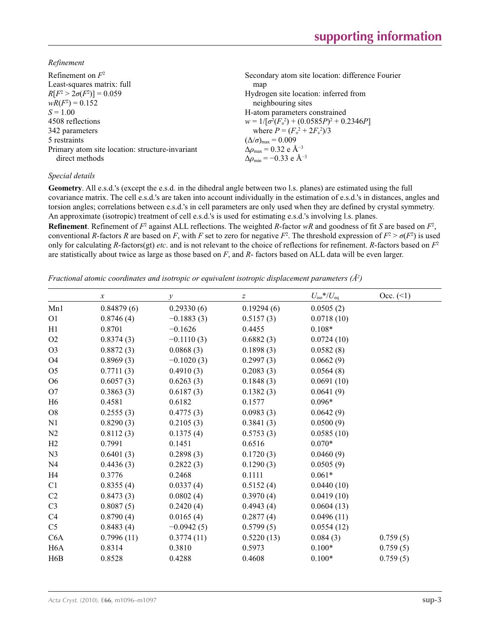*Refinement*

| Refinement on $F^2$<br>Least-squares matrix: full<br>$R[F^2 > 2\sigma(F^2)] = 0.059$ | Secondary atom site location: difference Fourier<br>map<br>Hydrogen site location: inferred from                |
|--------------------------------------------------------------------------------------|-----------------------------------------------------------------------------------------------------------------|
| $wR(F^2) = 0.152$                                                                    | neighbouring sites                                                                                              |
| $S = 1.00$                                                                           | H-atom parameters constrained                                                                                   |
| 4508 reflections                                                                     | $w = 1/[\sigma^2(F_0^2) + (0.0585P)^2 + 0.2346P]$                                                               |
| 342 parameters                                                                       | where $P = (F_o^2 + 2F_c^2)/3$                                                                                  |
| 5 restraints                                                                         | $(\Delta/\sigma)_{\text{max}} = 0.009$                                                                          |
| Primary atom site location: structure-invariant<br>direct methods                    | $\Delta\rho_{\text{max}} = 0.32 \text{ e } \text{\AA}^{-3}$<br>$\Delta\rho_{\rm min} = -0.33$ e Å <sup>-3</sup> |
|                                                                                      |                                                                                                                 |

## *Special details*

**Geometry**. All e.s.d.'s (except the e.s.d. in the dihedral angle between two l.s. planes) are estimated using the full covariance matrix. The cell e.s.d.'s are taken into account individually in the estimation of e.s.d.'s in distances, angles and torsion angles; correlations between e.s.d.'s in cell parameters are only used when they are defined by crystal symmetry. An approximate (isotropic) treatment of cell e.s.d.'s is used for estimating e.s.d.'s involving l.s. planes.

**Refinement**. Refinement of  $F^2$  against ALL reflections. The weighted R-factor wR and goodness of fit *S* are based on  $F^2$ , conventional *R*-factors *R* are based on *F*, with *F* set to zero for negative  $F^2$ . The threshold expression of  $F^2 > \sigma(F^2)$  is used only for calculating *R*-factors(gt) *etc*. and is not relevant to the choice of reflections for refinement. *R*-factors based on *F*<sup>2</sup> are statistically about twice as large as those based on *F*, and *R*- factors based on ALL data will be even larger.

*Fractional atomic coordinates and isotropic or equivalent isotropic displacement parameters (Å<sup>2</sup>)* 

|                  | $\boldsymbol{x}$ | у            | $\boldsymbol{Z}$ | $U_{\rm iso}$ */ $U_{\rm eq}$ | Occ. (2) |
|------------------|------------------|--------------|------------------|-------------------------------|----------|
| Mn1              | 0.84879(6)       | 0.29330(6)   | 0.19294(6)       | 0.0505(2)                     |          |
| O <sub>1</sub>   | 0.8746(4)        | $-0.1883(3)$ | 0.5157(3)        | 0.0718(10)                    |          |
| H1               | 0.8701           | $-0.1626$    | 0.4455           | $0.108*$                      |          |
| O2               | 0.8374(3)        | $-0.1110(3)$ | 0.6882(3)        | 0.0724(10)                    |          |
| O <sub>3</sub>   | 0.8872(3)        | 0.0868(3)    | 0.1898(3)        | 0.0582(8)                     |          |
| O <sub>4</sub>   | 0.8969(3)        | $-0.1020(3)$ | 0.2997(3)        | 0.0662(9)                     |          |
| O <sub>5</sub>   | 0.7711(3)        | 0.4910(3)    | 0.2083(3)        | 0.0564(8)                     |          |
| O <sub>6</sub>   | 0.6057(3)        | 0.6263(3)    | 0.1848(3)        | 0.0691(10)                    |          |
| O <sub>7</sub>   | 0.3863(3)        | 0.6187(3)    | 0.1382(3)        | 0.0641(9)                     |          |
| H <sub>6</sub>   | 0.4581           | 0.6182       | 0.1577           | $0.096*$                      |          |
| O <sub>8</sub>   | 0.2555(3)        | 0.4775(3)    | 0.0983(3)        | 0.0642(9)                     |          |
| N <sub>1</sub>   | 0.8290(3)        | 0.2105(3)    | 0.3841(3)        | 0.0500(9)                     |          |
| N2               | 0.8112(3)        | 0.1375(4)    | 0.5753(3)        | 0.0585(10)                    |          |
| H2               | 0.7991           | 0.1451       | 0.6516           | $0.070*$                      |          |
| N <sub>3</sub>   | 0.6401(3)        | 0.2898(3)    | 0.1720(3)        | 0.0460(9)                     |          |
| N <sub>4</sub>   | 0.4436(3)        | 0.2822(3)    | 0.1290(3)        | 0.0505(9)                     |          |
| H4               | 0.3776           | 0.2468       | 0.1111           | $0.061*$                      |          |
| C <sub>1</sub>   | 0.8355(4)        | 0.0337(4)    | 0.5152(4)        | 0.0440(10)                    |          |
| C <sub>2</sub>   | 0.8473(3)        | 0.0802(4)    | 0.3970(4)        | 0.0419(10)                    |          |
| C <sub>3</sub>   | 0.8087(5)        | 0.2420(4)    | 0.4943(4)        | 0.0604(13)                    |          |
| C4               | 0.8790(4)        | 0.0165(4)    | 0.2877(4)        | 0.0496(11)                    |          |
| C <sub>5</sub>   | 0.8483(4)        | $-0.0942(5)$ | 0.5799(5)        | 0.0554(12)                    |          |
| C6A              | 0.7996(11)       | 0.3774(11)   | 0.5220(13)       | 0.084(3)                      | 0.759(5) |
| H <sub>6</sub> A | 0.8314           | 0.3810       | 0.5973           | $0.100*$                      | 0.759(5) |
| H <sub>6</sub> B | 0.8528           | 0.4288       | 0.4608           | $0.100*$                      | 0.759(5) |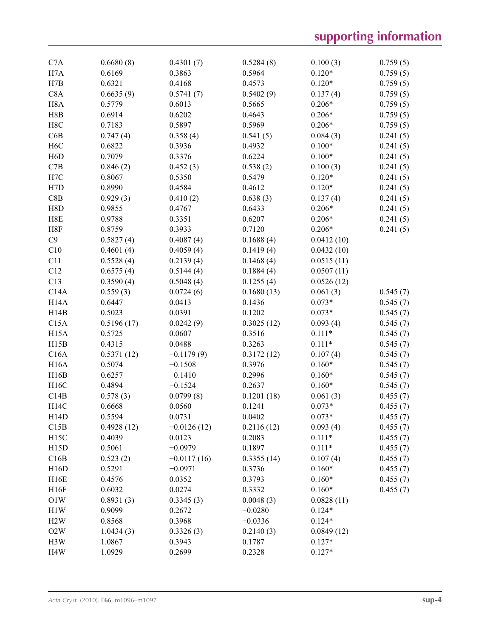| C <sub>7</sub> A  | 0.6680(8)  | 0.4301(7)     | 0.5284(8)  | 0.100(3)   | 0.759(5) |
|-------------------|------------|---------------|------------|------------|----------|
| H7A               | 0.6169     | 0.3863        | 0.5964     | $0.120*$   | 0.759(5) |
| H7B               | 0.6321     | 0.4168        | 0.4573     | $0.120*$   | 0.759(5) |
| C8A               | 0.6635(9)  | 0.5741(7)     | 0.5402(9)  | 0.137(4)   | 0.759(5) |
| H <sub>8</sub> A  | 0.5779     | 0.6013        | 0.5665     | $0.206*$   | 0.759(5) |
| H8B               | 0.6914     | 0.6202        | 0.4643     | $0.206*$   | 0.759(5) |
| H8C               | 0.7183     | 0.5897        | 0.5969     | $0.206*$   | 0.759(5) |
| C6B               | 0.747(4)   | 0.358(4)      | 0.541(5)   | 0.084(3)   | 0.241(5) |
| H <sub>6</sub> C  | 0.6822     | 0.3936        | 0.4932     | $0.100*$   | 0.241(5) |
| H <sub>6</sub> D  | 0.7079     | 0.3376        | 0.6224     | $0.100*$   | 0.241(5) |
| C7B               | 0.846(2)   | 0.452(3)      | 0.538(2)   | 0.100(3)   | 0.241(5) |
| $_{\mathrm{H7C}}$ | 0.8067     | 0.5350        | 0.5479     | $0.120*$   | 0.241(5) |
| H7D               | 0.8990     | 0.4584        | 0.4612     | $0.120*$   | 0.241(5) |
| C8B               | 0.929(3)   | 0.410(2)      | 0.638(3)   | 0.137(4)   | 0.241(5) |
| H8D               | 0.9855     | 0.4767        | 0.6433     | $0.206*$   | 0.241(5) |
| H8E               | 0.9788     | 0.3351        | 0.6207     | $0.206*$   | 0.241(5) |
| H8F               | 0.8759     | 0.3933        | 0.7120     | $0.206*$   | 0.241(5) |
| C9                | 0.5827(4)  | 0.4087(4)     | 0.1688(4)  | 0.0412(10) |          |
| C10               | 0.4601(4)  |               | 0.1419(4)  | 0.0432(10) |          |
|                   |            | 0.4059(4)     | 0.1468(4)  | 0.0515(11) |          |
| C11               | 0.5528(4)  | 0.2139(4)     |            |            |          |
| C12               | 0.6575(4)  | 0.5144(4)     | 0.1884(4)  | 0.0507(11) |          |
| C13               | 0.3590(4)  | 0.5048(4)     | 0.1255(4)  | 0.0526(12) |          |
| C14A              | 0.559(3)   | 0.0724(6)     | 0.1680(13) | 0.061(3)   | 0.545(7) |
| H <sub>14</sub> A | 0.6447     | 0.0413        | 0.1436     | $0.073*$   | 0.545(7) |
| H14B              | 0.5023     | 0.0391        | 0.1202     | $0.073*$   | 0.545(7) |
| C15A              | 0.5196(17) | 0.0242(9)     | 0.3025(12) | 0.093(4)   | 0.545(7) |
| H <sub>15</sub> A | 0.5725     | 0.0607        | 0.3516     | $0.111*$   | 0.545(7) |
| H15B              | 0.4315     | 0.0488        | 0.3263     | $0.111*$   | 0.545(7) |
| C16A              | 0.5371(12) | $-0.1179(9)$  | 0.3172(12) | 0.107(4)   | 0.545(7) |
| H <sub>16</sub> A | 0.5074     | $-0.1508$     | 0.3976     | $0.160*$   | 0.545(7) |
| H16B              | 0.6257     | $-0.1410$     | 0.2996     | $0.160*$   | 0.545(7) |
| H16C              | 0.4894     | $-0.1524$     | 0.2637     | $0.160*$   | 0.545(7) |
| C14B              | 0.578(3)   | 0.0799(8)     | 0.1201(18) | 0.061(3)   | 0.455(7) |
| H14C              | 0.6668     | 0.0560        | 0.1241     | $0.073*$   | 0.455(7) |
| H14D              | 0.5594     | 0.0731        | 0.0402     | $0.073*$   | 0.455(7) |
| C15B              | 0.4928(12) | $-0.0126(12)$ | 0.2116(12) | 0.093(4)   | 0.455(7) |
| H15C              | 0.4039     | 0.0123        | 0.2083     | $0.111*$   | 0.455(7) |
| H15D              | 0.5061     | $-0.0979$     | 0.1897     | $0.111*$   | 0.455(7) |
| C16B              | 0.523(2)   | $-0.0117(16)$ | 0.3355(14) | 0.107(4)   | 0.455(7) |
| H16D              | 0.5291     | $-0.0971$     | 0.3736     | $0.160*$   | 0.455(7) |
| H16E              | 0.4576     | 0.0352        | 0.3793     | $0.160*$   | 0.455(7) |
| H16F              | 0.6032     | 0.0274        | 0.3332     | $0.160*$   | 0.455(7) |
| O1W               | 0.8931(3)  | 0.3345(3)     | 0.0048(3)  | 0.0828(11) |          |
| H1W               | 0.9099     | 0.2672        | $-0.0280$  | $0.124*$   |          |
| H2W               | 0.8568     | 0.3968        | $-0.0336$  | $0.124*$   |          |
| O2W               | 1.0434(3)  | 0.3326(3)     | 0.2140(3)  | 0.0849(12) |          |
| H3W               | 1.0867     | 0.3943        | 0.1787     | $0.127*$   |          |
| H <sub>4</sub> W  | 1.0929     | 0.2699        | 0.2328     | $0.127*$   |          |
|                   |            |               |            |            |          |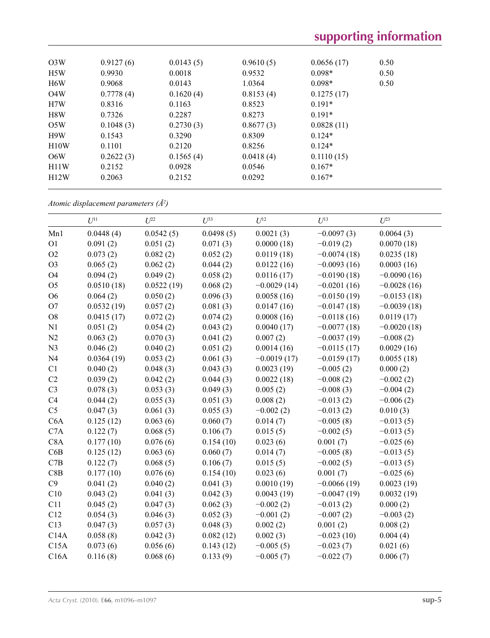| O <sub>3</sub> W | 0.9127(6) | 0.0143(5) | 0.9610(5) | 0.0656(17) | 0.50 |  |
|------------------|-----------|-----------|-----------|------------|------|--|
| H <sub>5</sub> W | 0.9930    | 0.0018    | 0.9532    | $0.098*$   | 0.50 |  |
| H <sub>6</sub> W | 0.9068    | 0.0143    | 1.0364    | $0.098*$   | 0.50 |  |
| O4W              | 0.7778(4) | 0.1620(4) | 0.8153(4) | 0.1275(17) |      |  |
| H7W              | 0.8316    | 0.1163    | 0.8523    | $0.191*$   |      |  |
| H8W              | 0.7326    | 0.2287    | 0.8273    | $0.191*$   |      |  |
| O5W              | 0.1048(3) | 0.2730(3) | 0.8677(3) | 0.0828(11) |      |  |
| H9W              | 0.1543    | 0.3290    | 0.8309    | $0.124*$   |      |  |
| H10W             | 0.1101    | 0.2120    | 0.8256    | $0.124*$   |      |  |
| 06W              | 0.2622(3) | 0.1565(4) | 0.0418(4) | 0.1110(15) |      |  |
| H11W             | 0.2152    | 0.0928    | 0.0546    | $0.167*$   |      |  |
| H12W             | 0.2063    | 0.2152    | 0.0292    | $0.167*$   |      |  |
|                  |           |           |           |            |      |  |

*Atomic displacement parameters (Å2 )*

|                | $U^{11}$   | $U^{22}$   | $U^{33}$  | $U^{12}$      | $U^{13}$      | $U^{23}$      |
|----------------|------------|------------|-----------|---------------|---------------|---------------|
| Mn1            | 0.0448(4)  | 0.0542(5)  | 0.0498(5) | 0.0021(3)     | $-0.0097(3)$  | 0.0064(3)     |
| O <sub>1</sub> | 0.091(2)   | 0.051(2)   | 0.071(3)  | 0.0000(18)    | $-0.019(2)$   | 0.0070(18)    |
| O2             | 0.073(2)   | 0.082(2)   | 0.052(2)  | 0.0119(18)    | $-0.0074(18)$ | 0.0235(18)    |
| O <sub>3</sub> | 0.065(2)   | 0.062(2)   | 0.044(2)  | 0.0122(16)    | $-0.0093(16)$ | 0.0003(16)    |
| O <sub>4</sub> | 0.094(2)   | 0.049(2)   | 0.058(2)  | 0.0116(17)    | $-0.0190(18)$ | $-0.0090(16)$ |
| O <sub>5</sub> | 0.0510(18) | 0.0522(19) | 0.068(2)  | $-0.0029(14)$ | $-0.0201(16)$ | $-0.0028(16)$ |
| O <sub>6</sub> | 0.064(2)   | 0.050(2)   | 0.096(3)  | 0.0058(16)    | $-0.0150(19)$ | $-0.0153(18)$ |
| O <sub>7</sub> | 0.0532(19) | 0.057(2)   | 0.081(3)  | 0.0147(16)    | $-0.0147(18)$ | $-0.0039(18)$ |
| ${\rm O}8$     | 0.0415(17) | 0.072(2)   | 0.074(2)  | 0.0008(16)    | $-0.0118(16)$ | 0.0119(17)    |
| N1             | 0.051(2)   | 0.054(2)   | 0.043(2)  | 0.0040(17)    | $-0.0077(18)$ | $-0.0020(18)$ |
| N2             | 0.063(2)   | 0.070(3)   | 0.041(2)  | 0.007(2)      | $-0.0037(19)$ | $-0.008(2)$   |
| N <sub>3</sub> | 0.046(2)   | 0.040(2)   | 0.051(2)  | 0.0014(16)    | $-0.0115(17)$ | 0.0029(16)    |
| N <sub>4</sub> | 0.0364(19) | 0.053(2)   | 0.061(3)  | $-0.0019(17)$ | $-0.0159(17)$ | 0.0055(18)    |
| C1             | 0.040(2)   | 0.048(3)   | 0.043(3)  | 0.0023(19)    | $-0.005(2)$   | 0.000(2)      |
| C2             | 0.039(2)   | 0.042(2)   | 0.044(3)  | 0.0022(18)    | $-0.008(2)$   | $-0.002(2)$   |
| C <sub>3</sub> | 0.078(3)   | 0.053(3)   | 0.049(3)  | 0.005(2)      | $-0.008(3)$   | $-0.004(2)$   |
| C4             | 0.044(2)   | 0.055(3)   | 0.051(3)  | 0.008(2)      | $-0.013(2)$   | $-0.006(2)$   |
| C <sub>5</sub> | 0.047(3)   | 0.061(3)   | 0.055(3)  | $-0.002(2)$   | $-0.013(2)$   | 0.010(3)      |
| C6A            | 0.125(12)  | 0.063(6)   | 0.060(7)  | 0.014(7)      | $-0.005(8)$   | $-0.013(5)$   |
| C7A            | 0.122(7)   | 0.068(5)   | 0.106(7)  | 0.015(5)      | $-0.002(5)$   | $-0.013(5)$   |
| C8A            | 0.177(10)  | 0.076(6)   | 0.154(10) | 0.023(6)      | 0.001(7)      | $-0.025(6)$   |
| C6B            | 0.125(12)  | 0.063(6)   | 0.060(7)  | 0.014(7)      | $-0.005(8)$   | $-0.013(5)$   |
| C7B            | 0.122(7)   | 0.068(5)   | 0.106(7)  | 0.015(5)      | $-0.002(5)$   | $-0.013(5)$   |
| C8B            | 0.177(10)  | 0.076(6)   | 0.154(10) | 0.023(6)      | 0.001(7)      | $-0.025(6)$   |
| C9             | 0.041(2)   | 0.040(2)   | 0.041(3)  | 0.0010(19)    | $-0.0066(19)$ | 0.0023(19)    |
| C10            | 0.043(2)   | 0.041(3)   | 0.042(3)  | 0.0043(19)    | $-0.0047(19)$ | 0.0032(19)    |
| C11            | 0.045(2)   | 0.047(3)   | 0.062(3)  | $-0.002(2)$   | $-0.013(2)$   | 0.000(2)      |
| C12            | 0.054(3)   | 0.046(3)   | 0.052(3)  | $-0.001(2)$   | $-0.007(2)$   | $-0.003(2)$   |
| C13            | 0.047(3)   | 0.057(3)   | 0.048(3)  | 0.002(2)      | 0.001(2)      | 0.008(2)      |
| C14A           | 0.058(8)   | 0.042(3)   | 0.082(12) | 0.002(3)      | $-0.023(10)$  | 0.004(4)      |
| C15A           | 0.073(6)   | 0.056(6)   | 0.143(12) | $-0.005(5)$   | $-0.023(7)$   | 0.021(6)      |
| C16A           | 0.116(8)   | 0.068(6)   | 0.133(9)  | $-0.005(7)$   | $-0.022(7)$   | 0.006(7)      |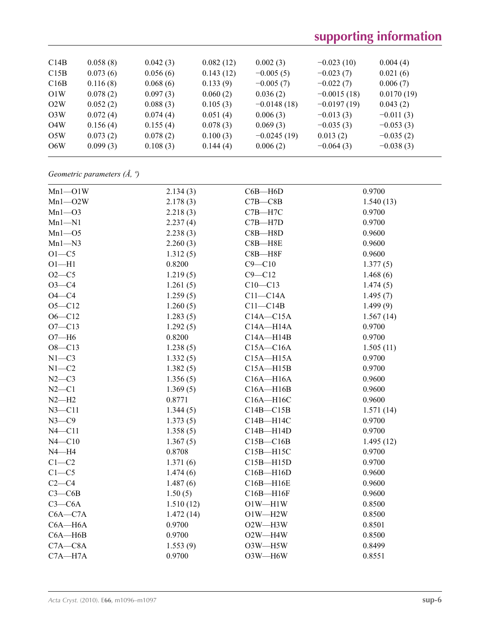# **supporting information**

| C14B             | 0.058(8) | 0.042(3) | 0.082(12) | 0.002(3)      | $-0.023(10)$  | 0.004(4)    |
|------------------|----------|----------|-----------|---------------|---------------|-------------|
| C15B             | 0.073(6) | 0.056(6) | 0.143(12) | $-0.005(5)$   | $-0.023(7)$   | 0.021(6)    |
| C16B             | 0.116(8) | 0.068(6) | 0.133(9)  | $-0.005(7)$   | $-0.022(7)$   | 0.006(7)    |
| O1W              | 0.078(2) | 0.097(3) | 0.060(2)  | 0.036(2)      | $-0.0015(18)$ | 0.0170(19)  |
| O2W              | 0.052(2) | 0.088(3) | 0.105(3)  | $-0.0148(18)$ | $-0.0197(19)$ | 0.043(2)    |
| O <sub>3</sub> W | 0.072(4) | 0.074(4) | 0.051(4)  | 0.006(3)      | $-0.013(3)$   | $-0.011(3)$ |
| O4W              | 0.156(4) | 0.155(4) | 0.078(3)  | 0.069(3)      | $-0.035(3)$   | $-0.053(3)$ |
| O5W              | 0.073(2) | 0.078(2) | 0.100(3)  | $-0.0245(19)$ | 0.013(2)      | $-0.035(2)$ |
| O <sub>6</sub> W | 0.099(3) | 0.108(3) | 0.144(4)  | 0.006(2)      | $-0.064(3)$   | $-0.038(3)$ |
|                  |          |          |           |               |               |             |

*Geometric parameters (Å, º)*

| $Mn1 - O1W$ | 2.134(3)  | $C6B - H6D$   | 0.9700    |
|-------------|-----------|---------------|-----------|
| $Mn1 - O2W$ | 2.178(3)  | $C7B - C8B$   | 1.540(13) |
| $Mn1 - O3$  | 2.218(3)  | $C7B - H7C$   | 0.9700    |
| $Mn1 - N1$  | 2.237(4)  | $C7B - H7D$   | 0.9700    |
| $Mn1 - 05$  | 2.238(3)  | $C8B - H8D$   | 0.9600    |
| $Mn1 - N3$  | 2.260(3)  | $C8B - H8E$   | 0.9600    |
| $O1 - C5$   | 1.312(5)  | $C8B - H8F$   | 0.9600    |
| $O1 - H1$   | 0.8200    | $C9 - C10$    | 1.377(5)  |
| $O2-C5$     | 1.219(5)  | $C9 - C12$    | 1.468(6)  |
| $O3 - C4$   | 1.261(5)  | $C10 - C13$   | 1.474(5)  |
| $O4 - C4$   | 1.259(5)  | $C11 - C14A$  | 1.495(7)  |
| $O5 - C12$  | 1.260(5)  | $C11 - C14B$  | 1.499(9)  |
| $O6 - C12$  | 1.283(5)  | $C14A - C15A$ | 1.567(14) |
| $O7 - C13$  | 1.292(5)  | $C14A - H14A$ | 0.9700    |
| $O7 - H6$   | 0.8200    | $C14A - H14B$ | 0.9700    |
| $O8 - C13$  | 1.238(5)  | $C15A - C16A$ | 1.505(11) |
| $N1-C3$     | 1.332(5)  | $C15A - H15A$ | 0.9700    |
| $N1-C2$     | 1.382(5)  | $C15A - H15B$ | 0.9700    |
| $N2-C3$     | 1.356(5)  | $C16A - H16A$ | 0.9600    |
| $N2 - C1$   | 1.369(5)  | $C16A - H16B$ | 0.9600    |
| $N2-H2$     | 0.8771    | $C16A - H16C$ | 0.9600    |
| $N3 - C11$  | 1.344(5)  | $C14B - C15B$ | 1.571(14) |
| $N3 - C9$   | 1.373(5)  | $C14B - H14C$ | 0.9700    |
| $N4 - C11$  | 1.358(5)  | $C14B - H14D$ | 0.9700    |
| $N4 - C10$  | 1.367(5)  | $C15B - C16B$ | 1.495(12) |
| $N4 - H4$   | 0.8708    | $C15B - H15C$ | 0.9700    |
| $C1-C2$     | 1.371(6)  | $C15B - H15D$ | 0.9700    |
| $C1 - C5$   | 1.474(6)  | $C16B - H16D$ | 0.9600    |
| $C2-C4$     | 1.487(6)  | $C16B - H16E$ | 0.9600    |
| $C3-C6B$    | 1.50(5)   | $C16B - H16F$ | 0.9600    |
| $C3-C6A$    | 1.510(12) | $O1W - H1W$   | 0.8500    |
| $C6A - C7A$ | 1.472(14) | $O1W - H2W$   | 0.8500    |
| $C6A - H6A$ | 0.9700    | O2W-H3W       | 0.8501    |
| $C6A - H6B$ | 0.9700    | O2W-H4W       | 0.8500    |
| $C7A - C8A$ | 1.553(9)  | O3W-H5W       | 0.8499    |
| $C7A - H7A$ | 0.9700    | O3W-H6W       | 0.8551    |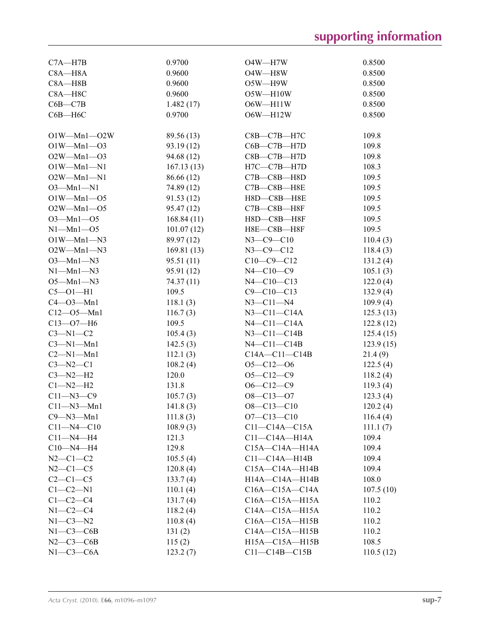| $C7A - H7B$      | 0.9700     | <b>O4W-H7W</b>        | 0.8500    |
|------------------|------------|-----------------------|-----------|
| $C8A - H8A$      | 0.9600     | O4W-H8W               | 0.8500    |
| $C8A - H8B$      | 0.9600     | O5W-H9W               | 0.8500    |
| $C8A - H8C$      | 0.9600     | $O5W - H10W$          | 0.8500    |
| $C6B - C7B$      | 1.482(17)  | $O6W - H11W$          | 0.8500    |
| $C6B - H6C$      | 0.9700     | $O6W - H12W$          | 0.8500    |
|                  |            |                       |           |
| $O1W-Mn1-O2W$    | 89.56 (13) | $C8B - C7B - H7C$     | 109.8     |
| $O1W - Mn1 - O3$ | 93.19 (12) | $C6B - C7B - H7D$     | 109.8     |
| $O2W - Mn1 - O3$ | 94.68 (12) | $C8B - C7B - H7D$     | 109.8     |
| $O1W-Mn1-N1$     | 167.13(13) | $H7C-C7B-H7D$         | 108.3     |
| $O2W-Mn1-N1$     | 86.66 (12) | $C7B - C8B - H8D$     | 109.5     |
| $O3 - Mn1 - N1$  | 74.89 (12) | $C7B - C8B - H8E$     | 109.5     |
| $O1W - Mn1 - O5$ | 91.53(12)  | H8D-C8B-H8E           | 109.5     |
| $O2W - Mn1 - O5$ | 95.47 (12) | $C7B - C8B - H8F$     | 109.5     |
| $O3 - Mn1 - O5$  | 168.84(11) | H8D-C8B-H8F           | 109.5     |
| $N1 - Mn1 - 05$  | 101.07(12) | $H8E$ $-C8B$ $-H8F$   | 109.5     |
| $O1W-Mn1-N3$     | 89.97 (12) | $N3 - C9 - C10$       | 110.4(3)  |
| $O2W-Mn1-N3$     | 169.81(13) | $N3 - C9 - C12$       | 118.4(3)  |
| $O3 - Mn1 - N3$  | 95.51(11)  | $C10-C9-C12$          | 131.2(4)  |
| $N1-Mn1-N3$      | 95.91 (12) | $N4 - C10 - C9$       | 105.1(3)  |
| $O5 - Mn1 - N3$  | 74.37(11)  | $N4 - C10 - C13$      | 122.0(4)  |
| $C5 - O1 - H1$   | 109.5      | $C9 - C10 - C13$      | 132.9(4)  |
| $C4 - O3 - Mn1$  | 118.1(3)   | $N3 - C11 - N4$       | 109.9(4)  |
| $C12 - 05 - Mn1$ | 116.7(3)   | $N3$ — $C11$ — $C14A$ | 125.3(13) |
| $C13 - O7 - H6$  | 109.5      | $N4$ — $C11$ — $C14A$ | 122.8(12) |
| $C3-M1-C2$       | 105.4(3)   | $N3 - C11 - C14B$     | 125.4(15) |
| $C3-M1-Mn1$      | 142.5(3)   | $N4$ - $C11$ - $C14B$ | 123.9(15) |
| $C2-M1-Mn1$      | 112.1(3)   | $C14A - C11 - C14B$   | 21.4(9)   |
| $C3 - N2 - C1$   | 108.2(4)   | $O5 - C12 - O6$       | 122.5(4)  |
| $C3 - N2 - H2$   | 120.0      | $O5 - C12 - C9$       | 118.2(4)  |
| $Cl-M2-H2$       | 131.8      | $O6-C12-C9$           | 119.3(4)  |
| $C11 - N3 - C9$  | 105.7(3)   | $O8 - C13 - O7$       | 123.3(4)  |
| $C11 - N3 - Mn1$ | 141.8(3)   | $O8 - C13 - C10$      | 120.2(4)  |
| $C9 - N3 - Mn1$  | 111.8(3)   | $O7 - C13 - C10$      | 116.4(4)  |
| $C11 - N4 - C10$ | 108.9(3)   | $C11-C14A-C15A$       | 111.1(7)  |
| $C11 - N4 - H4$  | 121.3      | C11-C14A-H14A         | 109.4     |
| $C10 - N4 - H4$  | 129.8      | $C15A - C14A - H14A$  | 109.4     |
| $N2-C1-C2$       | 105.5(4)   | $C11-C14A-H14B$       | 109.4     |
| $N2-C1-C5$       | 120.8(4)   | $C15A - C14A - H14B$  | 109.4     |
| $C2-C1-C5$       | 133.7(4)   | $H14A - C14A - H14B$  | 108.0     |
| $C1-C2-N1$       | 110.1(4)   | $C16A - C15A - C14A$  | 107.5(10) |
| $C1-C2-C4$       | 131.7(4)   | $C16A - C15A - H15A$  | 110.2     |
| $N1-C2-C4$       | 118.2(4)   | $C14A - C15A - H15A$  | 110.2     |
| $N1-C3-N2$       | 110.8(4)   | $C16A - C15A - H15B$  | 110.2     |
| $N1-C3-C6B$      | 131(2)     | $C14A - C15A - H15B$  | 110.2     |
| $N2-C3-C6B$      | 115(2)     | $H15A - C15A - H15B$  | 108.5     |
| $N1-C3-C6A$      | 123.2(7)   | $C11-C14B-C15B$       | 110.5(12) |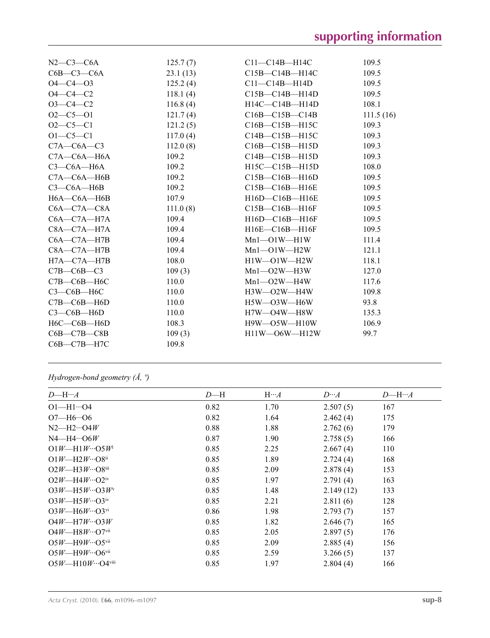| $N2-C3-C6A$           | 125.7(7) | C11--C14B--H14C       | 109.5     |
|-----------------------|----------|-----------------------|-----------|
| $C6B - C3 - C6A$      | 23.1(13) | $C15B - C14B - H14C$  | 109.5     |
| $O4 - C4 - O3$        | 125.2(4) | $C11-C14B-H14D$       | 109.5     |
| $O4 - C4 - C2$        | 118.1(4) | $C15B - C14B - H14D$  | 109.5     |
| $O3-C4-C2$            | 116.8(4) | $H14C-C14B-H14D$      | 108.1     |
| $O2-C5-O1$            | 121.7(4) | $C16B - C15B - C14B$  | 111.5(16) |
| $O2-C5-C1$            | 121.2(5) | $C16B - C15B - H15C$  | 109.3     |
| $O1 - C5 - C1$        | 117.0(4) | $C14B - C15B - H15C$  | 109.3     |
| $C7A - C6A - C3$      | 112.0(8) | $C16B - C15B - H15D$  | 109.3     |
| $C7A - C6A - H6A$     | 109.2    | $C14B - C15B - H15D$  | 109.3     |
| $C3-C6A-H6A$          | 109.2    | H15C-C15B-H15D        | 108.0     |
| C7A—C6A—H6B           | 109.2    | $C15B - C16B - H16D$  | 109.5     |
| $C3-C6A-H6B$          | 109.2    | $C15B - C16B - H16E$  | 109.5     |
| $H6A - C6A - H6B$     | 107.9    | H16D-C16B-H16E        | 109.5     |
| $C6A-C7A-C8A$         | 111.0(8) | $C15B - C16B - H16F$  | 109.5     |
| $C6A - C7A - H7A$     | 109.4    | H16D—C16B—H16F        | 109.5     |
| $C8A - C7A - H7A$     | 109.4    | $H16E-C16B-H16F$      | 109.5     |
| $C6A - C7A - H7B$     | 109.4    | $Mn1$ — $O1W$ — $H1W$ | 111.4     |
| $C8A - C7A - H7B$     | 109.4    | $Mn1$ — $O1W$ — $H2W$ | 121.1     |
| $H7A - C7A - H7B$     | 108.0    | H1W-O1W-H2W           | 118.1     |
| $C7B-C6B-C3$          | 109(3)   | $Mn1$ —O2W—H3W        | 127.0     |
| $C7B - C6B - H6C$     | 110.0    | Mn1—O2W—H4W           | 117.6     |
| $C3-C6B-H6C$          | 110.0    | H3W—O2W—H4W           | 109.8     |
| $C7B - C6B - H6D$     | 110.0    | H5W—O3W—H6W           | 93.8      |
| $C3-C6B-H6D$          | 110.0    | H7W—O4W—H8W           | 135.3     |
| $H6C$ — $C6B$ — $H6D$ | 108.3    | H9W—O5W—H10W          | 106.9     |
| $C6B - C7B - C8B$     | 109(3)   | $H11W$ —O6W—H12W      | 99.7      |
| $C6B - C7B - H7C$     | 109.8    |                       |           |
|                       |          |                       |           |

# *Hydrogen-bond geometry (Å, º)*

| $D$ —H… $A$                       | $D$ —H | $H \cdots A$ | $D \cdots A$ | $D$ —H… $A$ |
|-----------------------------------|--------|--------------|--------------|-------------|
| $O1 - H1 \cdot 04$                | 0.82   | 1.70         | 2.507(5)     | 167         |
| $O7 - H6 \cdot 06$                | 0.82   | 1.64         | 2.462(4)     | 175         |
| $N2-H2\cdots O4W$                 | 0.88   | 1.88         | 2.762(6)     | 179         |
| $N4$ —H $4 \cdot \cdot \cdot$ O6W | 0.87   | 1.90         | 2.758(5)     | 166         |
| $O1W$ —H1W…O5W                    | 0.85   | 2.25         | 2.667(4)     | 110         |
| $O1W$ —H2W…O8 <sup>ii</sup>       | 0.85   | 1.89         | 2.724(4)     | 168         |
| $O2W$ —H3W…O8                     | 0.85   | 2.09         | 2.878(4)     | 153         |
| $O2W$ —H4W…O2iv                   | 0.85   | 1.97         | 2.791(4)     | 163         |
| $O3W$ —H5 $W$ …O3 $W^v$           | 0.85   | 1.48         | 2.149(12)    | 133         |
| $O3W$ —H5 $W$ …O3 <sup>iv</sup>   | 0.85   | 2.21         | 2.811(6)     | 128         |
| $O3W$ —H6W…O3vi                   | 0.86   | 1.98         | 2.793(7)     | 157         |
| $O4W$ —H7W… $O3W$                 | 0.85   | 1.82         | 2.646(7)     | 165         |
| $O4W$ —H $8W$ …O7vii              | 0.85   | 2.05         | 2.897(5)     | 176         |
| $O5W$ —H9 $W$ …O5vii              | 0.85   | 2.09         | 2.885(4)     | 156         |
| $O5W$ —H9 $W$ …O6vii              | 0.85   | 2.59         | 3.266(5)     | 137         |
| $O5W$ —H10W…O4viii                | 0.85   | 1.97         | 2.804(4)     | 166         |
|                                   |        |              |              |             |